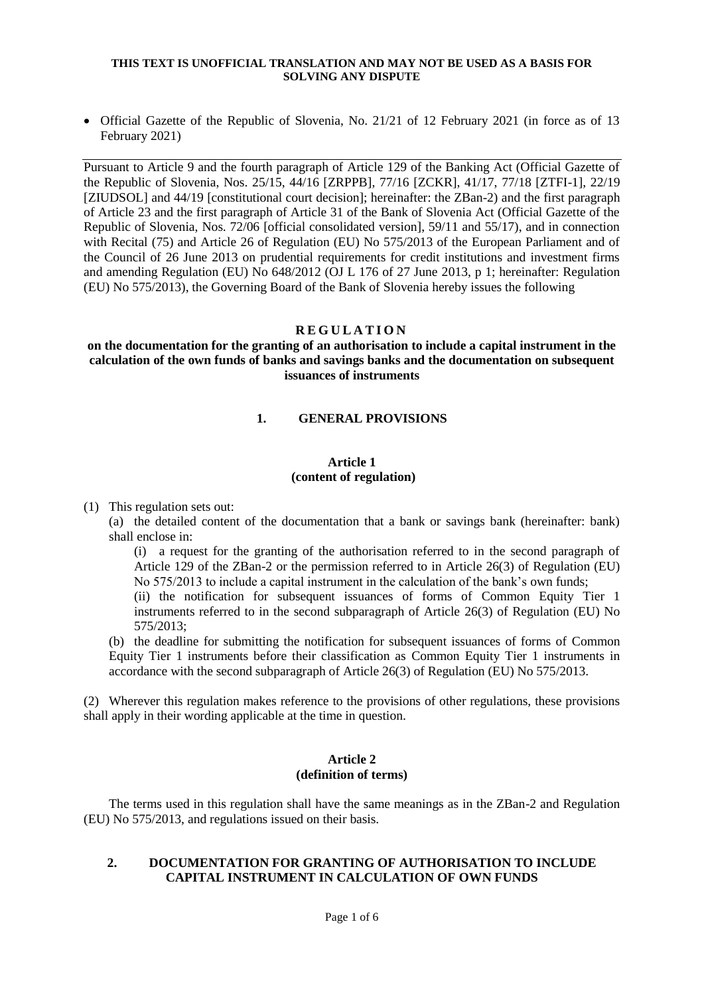• Official Gazette of the Republic of Slovenia, No. 21/21 of 12 February 2021 (in force as of 13 February 2021)

Pursuant to Article 9 and the fourth paragraph of Article 129 of the Banking Act (Official Gazette of the Republic of Slovenia, Nos. 25/15, 44/16 [ZRPPB], 77/16 [ZCKR], 41/17, 77/18 [ZTFI-1], 22/19 [ZIUDSOL] and 44/19 [constitutional court decision]; hereinafter: the ZBan-2) and the first paragraph of Article 23 and the first paragraph of Article 31 of the Bank of Slovenia Act (Official Gazette of the Republic of Slovenia, Nos. 72/06 [official consolidated version], 59/11 and 55/17), and in connection with Recital (75) and Article 26 of Regulation (EU) No 575/2013 of the European Parliament and of the Council of 26 June 2013 on prudential requirements for credit institutions and investment firms and amending Regulation (EU) No 648/2012 (OJ L 176 of 27 June 2013, p 1; hereinafter: Regulation (EU) No 575/2013), the Governing Board of the Bank of Slovenia hereby issues the following

## **R E G U L A T I O N**

# **on the documentation for the granting of an authorisation to include a capital instrument in the calculation of the own funds of banks and savings banks and the documentation on subsequent issuances of instruments**

# **1. GENERAL PROVISIONS**

# **Article 1**

## **(content of regulation)**

(1) This regulation sets out:

(a) the detailed content of the documentation that a bank or savings bank (hereinafter: bank) shall enclose in:

(i) a request for the granting of the authorisation referred to in the second paragraph of Article 129 of the ZBan-2 or the permission referred to in Article 26(3) of Regulation (EU) No 575/2013 to include a capital instrument in the calculation of the bank's own funds;

(ii) the notification for subsequent issuances of forms of Common Equity Tier 1 instruments referred to in the second subparagraph of Article 26(3) of Regulation (EU) No 575/2013;

(b) the deadline for submitting the notification for subsequent issuances of forms of Common Equity Tier 1 instruments before their classification as Common Equity Tier 1 instruments in accordance with the second subparagraph of Article 26(3) of Regulation (EU) No 575/2013.

(2) Wherever this regulation makes reference to the provisions of other regulations, these provisions shall apply in their wording applicable at the time in question.

### **Article 2 (definition of terms)**

The terms used in this regulation shall have the same meanings as in the ZBan-2 and Regulation (EU) No 575/2013, and regulations issued on their basis.

## **2. DOCUMENTATION FOR GRANTING OF AUTHORISATION TO INCLUDE CAPITAL INSTRUMENT IN CALCULATION OF OWN FUNDS**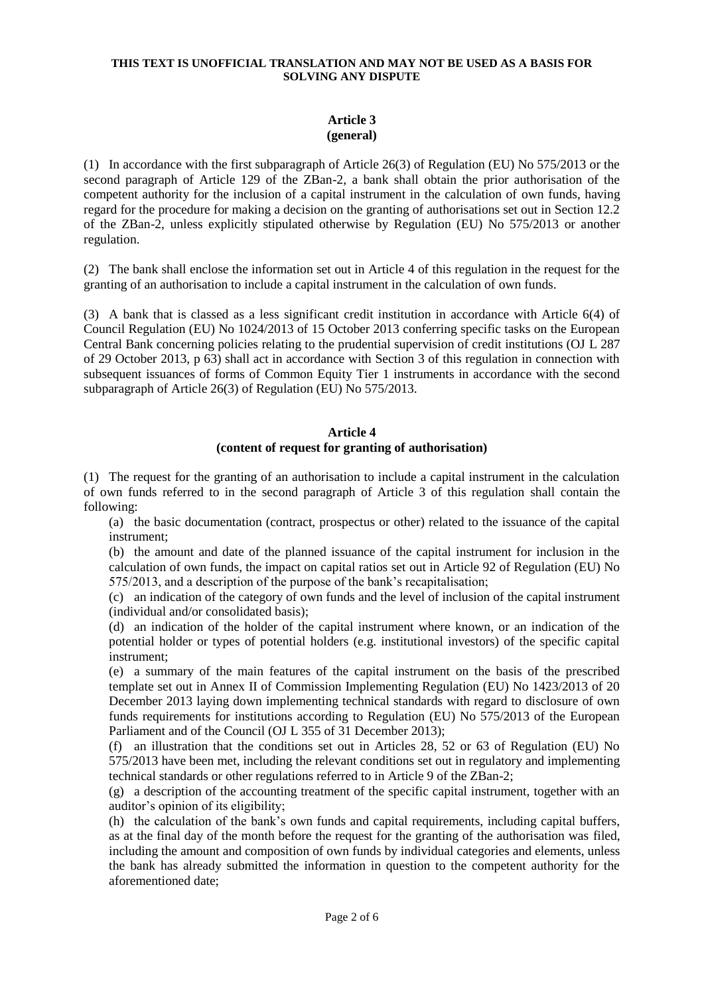# **Article 3 (general)**

(1) In accordance with the first subparagraph of Article 26(3) of Regulation (EU) No 575/2013 or the second paragraph of Article 129 of the ZBan-2, a bank shall obtain the prior authorisation of the competent authority for the inclusion of a capital instrument in the calculation of own funds, having regard for the procedure for making a decision on the granting of authorisations set out in Section 12.2 of the ZBan-2, unless explicitly stipulated otherwise by Regulation (EU) No 575/2013 or another regulation.

(2) The bank shall enclose the information set out in Article 4 of this regulation in the request for the granting of an authorisation to include a capital instrument in the calculation of own funds.

(3) A bank that is classed as a less significant credit institution in accordance with Article 6(4) of Council Regulation (EU) No 1024/2013 of 15 October 2013 conferring specific tasks on the European Central Bank concerning policies relating to the prudential supervision of credit institutions (OJ L 287 of 29 October 2013, p 63) shall act in accordance with Section 3 of this regulation in connection with subsequent issuances of forms of Common Equity Tier 1 instruments in accordance with the second subparagraph of Article 26(3) of Regulation (EU) No 575/2013.

# **Article 4 (content of request for granting of authorisation)**

(1) The request for the granting of an authorisation to include a capital instrument in the calculation of own funds referred to in the second paragraph of Article 3 of this regulation shall contain the following:

(a) the basic documentation (contract, prospectus or other) related to the issuance of the capital instrument;

(b) the amount and date of the planned issuance of the capital instrument for inclusion in the calculation of own funds, the impact on capital ratios set out in Article 92 of Regulation (EU) No 575/2013, and a description of the purpose of the bank's recapitalisation;

(c) an indication of the category of own funds and the level of inclusion of the capital instrument (individual and/or consolidated basis);

(d) an indication of the holder of the capital instrument where known, or an indication of the potential holder or types of potential holders (e.g. institutional investors) of the specific capital instrument;

(e) a summary of the main features of the capital instrument on the basis of the prescribed template set out in Annex II of Commission Implementing Regulation (EU) No 1423/2013 of 20 December 2013 laying down implementing technical standards with regard to disclosure of own funds requirements for institutions according to Regulation (EU) No 575/2013 of the European Parliament and of the Council (OJ L 355 of 31 December 2013);

(f) an illustration that the conditions set out in Articles 28, 52 or 63 of Regulation (EU) No 575/2013 have been met, including the relevant conditions set out in regulatory and implementing technical standards or other regulations referred to in Article 9 of the ZBan-2;

(g) a description of the accounting treatment of the specific capital instrument, together with an auditor's opinion of its eligibility;

(h) the calculation of the bank's own funds and capital requirements, including capital buffers, as at the final day of the month before the request for the granting of the authorisation was filed, including the amount and composition of own funds by individual categories and elements, unless the bank has already submitted the information in question to the competent authority for the aforementioned date;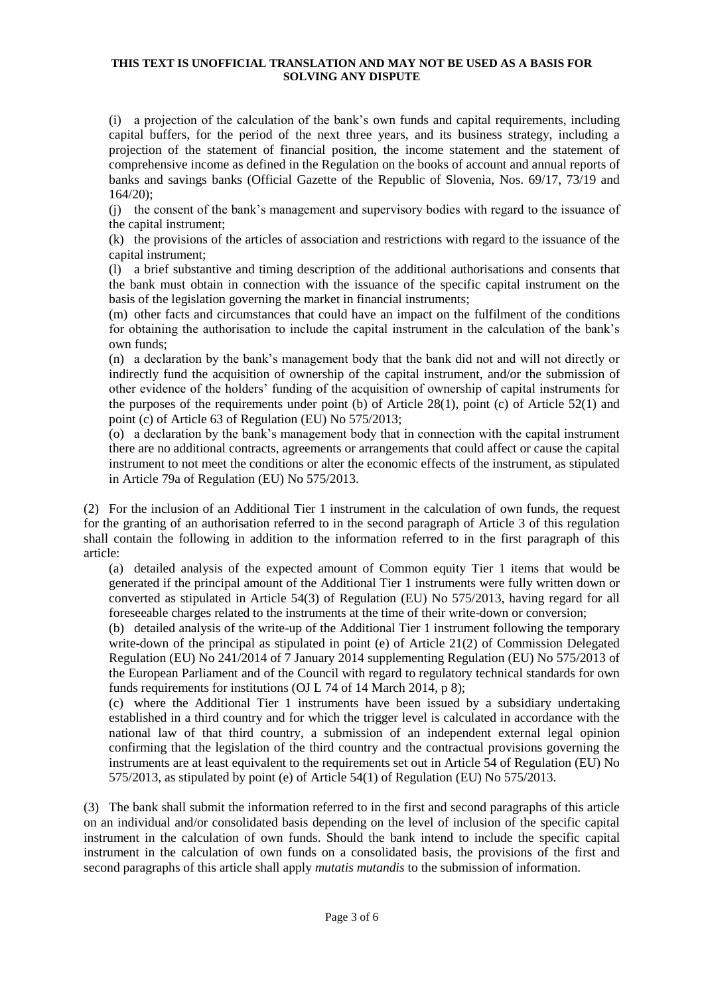(i) a projection of the calculation of the bank's own funds and capital requirements, including capital buffers, for the period of the next three years, and its business strategy, including a projection of the statement of financial position, the income statement and the statement of comprehensive income as defined in the Regulation on the books of account and annual reports of banks and savings banks (Official Gazette of the Republic of Slovenia, Nos. 69/17, 73/19 and 164/20);

(j) the consent of the bank's management and supervisory bodies with regard to the issuance of the capital instrument;

(k) the provisions of the articles of association and restrictions with regard to the issuance of the capital instrument;

(l) a brief substantive and timing description of the additional authorisations and consents that the bank must obtain in connection with the issuance of the specific capital instrument on the basis of the legislation governing the market in financial instruments;

(m) other facts and circumstances that could have an impact on the fulfilment of the conditions for obtaining the authorisation to include the capital instrument in the calculation of the bank's own funds;

(n) a declaration by the bank's management body that the bank did not and will not directly or indirectly fund the acquisition of ownership of the capital instrument, and/or the submission of other evidence of the holders' funding of the acquisition of ownership of capital instruments for the purposes of the requirements under point (b) of Article 28(1), point (c) of Article  $52(1)$  and point (c) of Article 63 of Regulation (EU) No 575/2013;

(o) a declaration by the bank's management body that in connection with the capital instrument there are no additional contracts, agreements or arrangements that could affect or cause the capital instrument to not meet the conditions or alter the economic effects of the instrument, as stipulated in Article 79a of Regulation (EU) No 575/2013.

(2) For the inclusion of an Additional Tier 1 instrument in the calculation of own funds, the request for the granting of an authorisation referred to in the second paragraph of Article 3 of this regulation shall contain the following in addition to the information referred to in the first paragraph of this article:

(a) detailed analysis of the expected amount of Common equity Tier 1 items that would be generated if the principal amount of the Additional Tier 1 instruments were fully written down or converted as stipulated in Article 54(3) of Regulation (EU) No 575/2013, having regard for all foreseeable charges related to the instruments at the time of their write-down or conversion;

(b) detailed analysis of the write-up of the Additional Tier 1 instrument following the temporary write-down of the principal as stipulated in point (e) of Article 21(2) of Commission Delegated Regulation (EU) No 241/2014 of 7 January 2014 supplementing Regulation (EU) No 575/2013 of the European Parliament and of the Council with regard to regulatory technical standards for own funds requirements for institutions (OJ L 74 of 14 March 2014, p 8);

(c) where the Additional Tier 1 instruments have been issued by a subsidiary undertaking established in a third country and for which the trigger level is calculated in accordance with the national law of that third country, a submission of an independent external legal opinion confirming that the legislation of the third country and the contractual provisions governing the instruments are at least equivalent to the requirements set out in Article 54 of Regulation (EU) No 575/2013, as stipulated by point (e) of Article 54(1) of Regulation (EU) No 575/2013.

(3) The bank shall submit the information referred to in the first and second paragraphs of this article on an individual and/or consolidated basis depending on the level of inclusion of the specific capital instrument in the calculation of own funds. Should the bank intend to include the specific capital instrument in the calculation of own funds on a consolidated basis, the provisions of the first and second paragraphs of this article shall apply *mutatis mutandis* to the submission of information.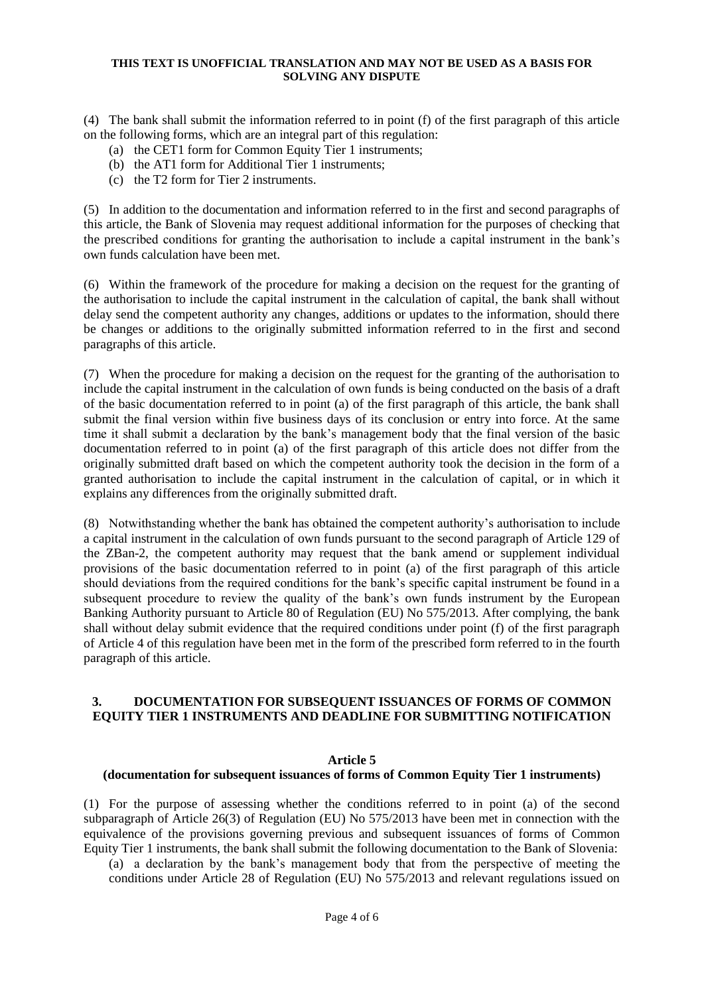(4) The bank shall submit the information referred to in point (f) of the first paragraph of this article on the following forms, which are an integral part of this regulation:

- (a) the CET1 form for Common Equity Tier 1 instruments;
- (b) the AT1 form for Additional Tier 1 instruments;
- (c) the T2 form for Tier 2 instruments.

(5) In addition to the documentation and information referred to in the first and second paragraphs of this article, the Bank of Slovenia may request additional information for the purposes of checking that the prescribed conditions for granting the authorisation to include a capital instrument in the bank's own funds calculation have been met.

(6) Within the framework of the procedure for making a decision on the request for the granting of the authorisation to include the capital instrument in the calculation of capital, the bank shall without delay send the competent authority any changes, additions or updates to the information, should there be changes or additions to the originally submitted information referred to in the first and second paragraphs of this article.

(7) When the procedure for making a decision on the request for the granting of the authorisation to include the capital instrument in the calculation of own funds is being conducted on the basis of a draft of the basic documentation referred to in point (a) of the first paragraph of this article, the bank shall submit the final version within five business days of its conclusion or entry into force. At the same time it shall submit a declaration by the bank's management body that the final version of the basic documentation referred to in point (a) of the first paragraph of this article does not differ from the originally submitted draft based on which the competent authority took the decision in the form of a granted authorisation to include the capital instrument in the calculation of capital, or in which it explains any differences from the originally submitted draft.

(8) Notwithstanding whether the bank has obtained the competent authority's authorisation to include a capital instrument in the calculation of own funds pursuant to the second paragraph of Article 129 of the ZBan-2, the competent authority may request that the bank amend or supplement individual provisions of the basic documentation referred to in point (a) of the first paragraph of this article should deviations from the required conditions for the bank's specific capital instrument be found in a subsequent procedure to review the quality of the bank's own funds instrument by the European Banking Authority pursuant to Article 80 of Regulation (EU) No 575/2013. After complying, the bank shall without delay submit evidence that the required conditions under point (f) of the first paragraph of Article 4 of this regulation have been met in the form of the prescribed form referred to in the fourth paragraph of this article.

# **3. DOCUMENTATION FOR SUBSEQUENT ISSUANCES OF FORMS OF COMMON EQUITY TIER 1 INSTRUMENTS AND DEADLINE FOR SUBMITTING NOTIFICATION**

# **Article 5**

# **(documentation for subsequent issuances of forms of Common Equity Tier 1 instruments)**

(1) For the purpose of assessing whether the conditions referred to in point (a) of the second subparagraph of Article 26(3) of Regulation (EU) No 575/2013 have been met in connection with the equivalence of the provisions governing previous and subsequent issuances of forms of Common Equity Tier 1 instruments, the bank shall submit the following documentation to the Bank of Slovenia:

(a) a declaration by the bank's management body that from the perspective of meeting the conditions under Article 28 of Regulation (EU) No 575/2013 and relevant regulations issued on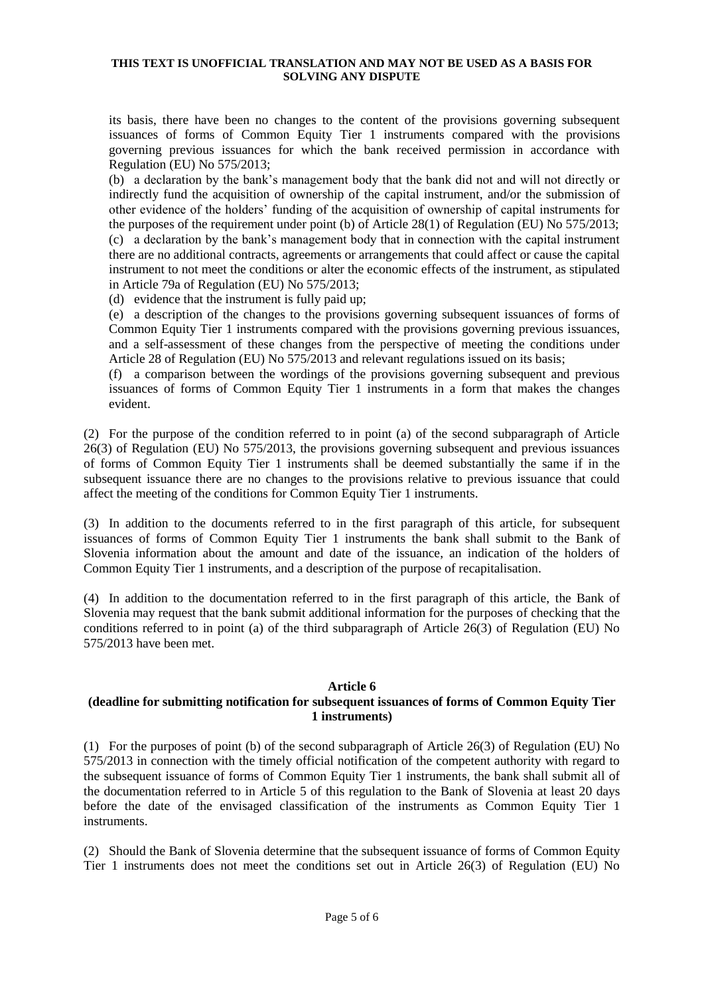its basis, there have been no changes to the content of the provisions governing subsequent issuances of forms of Common Equity Tier 1 instruments compared with the provisions governing previous issuances for which the bank received permission in accordance with Regulation (EU) No 575/2013;

(b) a declaration by the bank's management body that the bank did not and will not directly or indirectly fund the acquisition of ownership of the capital instrument, and/or the submission of other evidence of the holders' funding of the acquisition of ownership of capital instruments for the purposes of the requirement under point (b) of Article 28(1) of Regulation (EU) No 575/2013; (c) a declaration by the bank's management body that in connection with the capital instrument there are no additional contracts, agreements or arrangements that could affect or cause the capital instrument to not meet the conditions or alter the economic effects of the instrument, as stipulated in Article 79a of Regulation (EU) No 575/2013;

(d) evidence that the instrument is fully paid up;

(e) a description of the changes to the provisions governing subsequent issuances of forms of Common Equity Tier 1 instruments compared with the provisions governing previous issuances, and a self-assessment of these changes from the perspective of meeting the conditions under Article 28 of Regulation (EU) No 575/2013 and relevant regulations issued on its basis;

(f) a comparison between the wordings of the provisions governing subsequent and previous issuances of forms of Common Equity Tier 1 instruments in a form that makes the changes evident.

(2) For the purpose of the condition referred to in point (a) of the second subparagraph of Article 26(3) of Regulation (EU) No 575/2013, the provisions governing subsequent and previous issuances of forms of Common Equity Tier 1 instruments shall be deemed substantially the same if in the subsequent issuance there are no changes to the provisions relative to previous issuance that could affect the meeting of the conditions for Common Equity Tier 1 instruments.

(3) In addition to the documents referred to in the first paragraph of this article, for subsequent issuances of forms of Common Equity Tier 1 instruments the bank shall submit to the Bank of Slovenia information about the amount and date of the issuance, an indication of the holders of Common Equity Tier 1 instruments, and a description of the purpose of recapitalisation.

(4) In addition to the documentation referred to in the first paragraph of this article, the Bank of Slovenia may request that the bank submit additional information for the purposes of checking that the conditions referred to in point (a) of the third subparagraph of Article 26(3) of Regulation (EU) No 575/2013 have been met.

# **Article 6**

# **(deadline for submitting notification for subsequent issuances of forms of Common Equity Tier 1 instruments)**

(1) For the purposes of point (b) of the second subparagraph of Article 26(3) of Regulation (EU) No 575/2013 in connection with the timely official notification of the competent authority with regard to the subsequent issuance of forms of Common Equity Tier 1 instruments, the bank shall submit all of the documentation referred to in Article 5 of this regulation to the Bank of Slovenia at least 20 days before the date of the envisaged classification of the instruments as Common Equity Tier 1 instruments.

(2) Should the Bank of Slovenia determine that the subsequent issuance of forms of Common Equity Tier 1 instruments does not meet the conditions set out in Article 26(3) of Regulation (EU) No